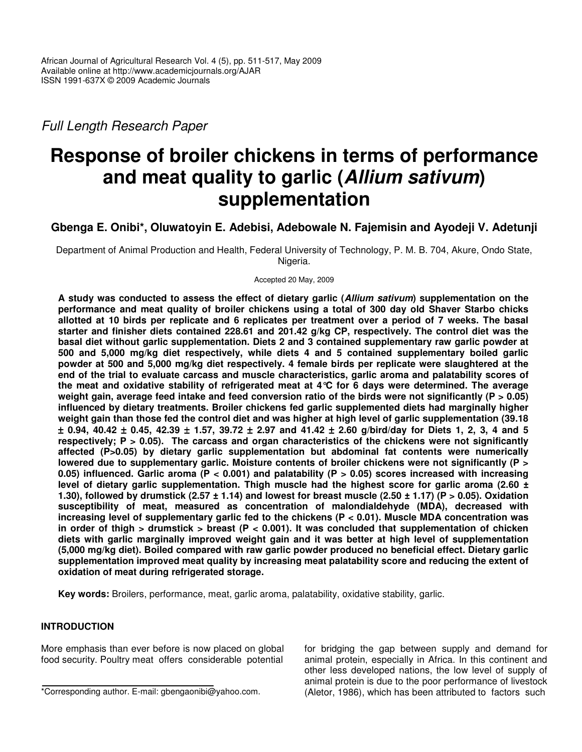*Full Length Research Paper*

# **Response of broiler chickens in terms of performance and meat quality to garlic (***Allium sativum***) supplementation**

**Gbenga E. Onibi\*, Oluwatoyin E. Adebisi, Adebowale N. Fajemisin and Ayodeji V. Adetunji**

Department of Animal Production and Health, Federal University of Technology, P. M. B. 704, Akure, Ondo State, Nigeria.

Accepted 20 May, 2009

A study was conducted to assess the effect of dietary garlic (Allium sativum) supplementation on the **performance and meat quality of broiler chickens using a total of 300 day old Shaver Starbo chicks** allotted at 10 birds per replicate and 6 replicates per treatment over a period of 7 weeks. The basal **starter and finisher diets contained 228.61 and 201.42 g/kg CP, respectively. The control diet was the basal diet without garlic supplementation. Diets 2 and 3 contained supplementary raw garlic powder at 500 and 5,000 mg/kg diet respectively, while diets 4 and 5 contained supplementary boiled garlic powder at 500 and 5,000 mg/kg diet respectively. 4 female birds per replicate were slaughtered at the end of the trial to evaluate carcass and muscle characteristics, garlic aroma and palatability scores of the meat and oxidative stability of refrigerated meat at 4°C for 6 days were determined. The average** weight gain, average feed intake and feed conversion ratio of the birds were not significantly ( $P > 0.05$ ) **influenced by dietary treatments. Broiler chickens fed garlic supplemented diets had marginally higher** weight gain than those fed the control diet and was higher at high level of garlic supplementation (39.18  $\pm$  0.94, 40.42  $\pm$  0.45, 42.39  $\pm$  1.57, 39.72  $\pm$  2.97 and 41.42  $\pm$  2.60 g/bird/day for Diets 1, 2, 3, 4 and 5 **respectively; P > 0.05). The carcass and organ characteristics of the chickens were not significantly affected (P>0.05) by dietary garlic supplementation but abdominal fat contents were numerically lowered due to supplementary garlic. Moisture contents of broiler chickens were not significantly (P > 0.05) influenced. Garlic aroma (P < 0.001) and palatability (P > 0.05) scores increased with increasing level of dietary garlic supplementation. Thigh muscle had the highest score for garlic aroma (2.60 ±** 1.30), followed by drumstick (2.57  $\pm$  1.14) and lowest for breast muscle (2.50  $\pm$  1.17) (P > 0.05). Oxidation **susceptibility of meat, measured as concentration of malondialdehyde (MDA), decreased with increasing level of supplementary garlic fed to the chickens (P < 0.01). Muscle MDA concentration was** in order of thigh > drumstick > breast ( $P < 0.001$ ). It was concluded that supplementation of chicken **diets with garlic marginally improved weight gain and it was better at high level of supplementation (5,000 mg/kg diet). Boiled compared with raw garlic powder produced no beneficial effect. Dietary garlic supplementation improved meat quality by increasing meat palatability score and reducing the extent of oxidation of meat during refrigerated storage.**

**Key words:** Broilers, performance, meat, garlic aroma, palatability, oxidative stability, garlic.

## **INTRODUCTION**

More emphasis than ever before is now placed on global food security. Poultry meat offers considerable potential for bridging the gap between supply and demand for animal protein, especially in Africa. In this continent and other less developed nations, the low level of supply of animal protein is due to the poor performance of livestock (Aletor, 1986), which has been attributed to factors such

<sup>\*</sup>Corresponding author. E-mail: gbengaonibi@yahoo.com.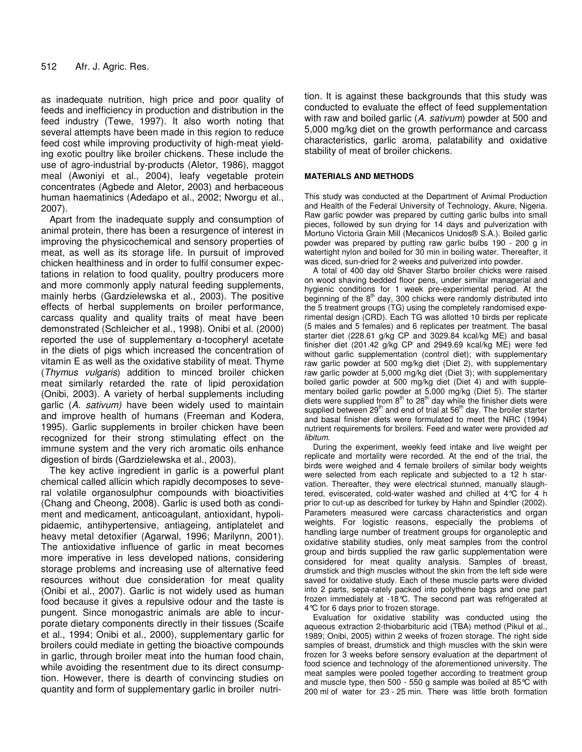as inadequate nutrition, high price and poor quality of feeds and inefficiency in production and distribution in the feed industry (Tewe, 1997). It also worth noting that several attempts have been made in this region to reduce feed cost while improving productivity of high-meat yielding exotic poultry like broiler chickens. These include the use of agro-industrial by-products (Aletor, 1986), maggot meal (Awoniyi et al., 2004), leafy vegetable protein concentrates (Agbede and Aletor, 2003) and herbaceous human haematinics (Adedapo et al., 2002; Nworgu et al., 2007).

Apart from the inadequate supply and consumption of animal protein, there has been a resurgence of interest in improving the physicochemical and sensory properties of meat, as well as its storage life. In pursuit of improved chicken healthiness and in order to fulfil consumer expectations in relation to food quality, poultry producers more and more commonly apply natural feeding supplements, mainly herbs (Gardzielewska et al., 2003). The positive effects of herbal supplements on broiler performance, carcass quality and quality traits of meat have been demonstrated (Schleicher et al., 1998). Onibi et al. (2000) reported the use of supplementary  $\alpha$ -tocopheryl acetate in the diets of pigs which increased the concentration of vitamin E as well as the oxidative stability of meat. Thyme (*Thymus vulgaris*) addition to minced broiler chicken meat similarly retarded the rate of lipid peroxidation (Onibi, 2003). A variety of herbal supplements including garlic (*A. sativum)* have been widely used to maintain and improve health of humans (Freeman and Kodera, 1995). Garlic supplements in broiler chicken have been recognized for their strong stimulating effect on the immune system and the very rich aromatic oils enhance digestion of birds (Gardzielewska et al., 2003).

The key active ingredient in garlic is a powerful plant chemical called allicin which rapidly decomposes to several volatile organosulphur compounds with bioactivities (Chang and Cheong, 2008). Garlic is used both as condiment and medicament, anticoagulant, antioxidant, hypolipidaemic, antihypertensive, antiageing, antiplatelet and heavy metal detoxifier (Agarwal, 1996; Marilynn, 2001). The antioxidative influence of garlic in meat becomes more imperative in less developed nations, considering storage problems and increasing use of alternative feed resources without due consideration for meat quality (Onibi et al., 2007). Garlic is not widely used as human food because it gives a repulsive odour and the taste is pungent. Since monogastric animals are able to incurporate dietary components directly in their tissues (Scaife et al., 1994; Onibi et al., 2000), supplementary garlic for broilers could mediate in getting the bioactive compounds in garlic, through broiler meat into the human food chain, while avoiding the resentment due to its direct consumption. However, there is dearth of convincing studies on quantity and form of supplementary garlic in broiler nutrition. It is against these backgrounds that this study was conducted to evaluate the effect of feed supplementation with raw and boiled garlic (*A. sativum*) powder at 500 and 5,000 mg/kg diet on the growth performance and carcass characteristics, garlic aroma, palatability and oxidative stability of meat of broiler chickens.

#### **MATERIALS AND METHODS**

This study was conducted at the Department of Animal Production and Health of the Federal University of Technology, Akure, Nigeria. Raw garlic powder was prepared by cutting garlic bulbs into small pieces, followed by sun drying for 14 days and pulverization with Mortuno Victoria Grain Mill (Mecanicos Unidos® S.A.). Boiled garlic powder was prepared by putting raw garlic bulbs 190 - 200 g in watertight nylon and boiled for 30 min in boiling water. Thereafter, it was diced, sun-dried for 2 weeks and pulverized into powder.

A total of 400 day old Shaver Starbo broiler chicks were raised on wood shaving bedded floor pens, under similar managerial and hygienic conditions for 1 week pre-experimental period. At the beginning of the  $8<sup>th</sup>$  day, 300 chicks were randomly distributed into the 5 treatment groups (TG) using the completely randomised experimental design (CRD). Each TG was allotted 10 birds per replicate (5 males and 5 females) and 6 replicates per treatment. The basal starter diet (228.61 g/kg CP and 3029.84 kcal/kg ME) and basal finisher diet (201.42 g/kg CP and 2949.69 kcal/kg ME) were fed without garlic supplementation (control diet); with supplementary raw garlic powder at 500 mg/kg diet (Diet 2), with supplementary raw garlic powder at 5,000 mg/kg diet (Diet 3); with supplementary boiled garlic powder at 500 mg/kg diet (Diet 4) and with supplementary boiled garlic powder at 5,000 mg/kg (Diet 5). The starter diets were supplied from  $8<sup>th</sup>$  to 28<sup>th</sup> day while the finisher diets were supplied between 29<sup>th</sup> and end of trial at 56<sup>th</sup> day. The broiler starter and basal finisher diets were formulated to meet the NRC (1994) nutrient requirements for broilers. Feed and water were provided *ad libitum*.

During the experiment, weekly feed intake and live weight per replicate and mortality were recorded. At the end of the trial, the birds were weighed and 4 female broilers of similar body weights were selected from each replicate and subjected to a 12 h starvation. Thereafter, they were electrical stunned, manually slaughtered, eviscerated, cold-water washed and chilled at 4°C for 4 h prior to cut-up as described for turkey by Hahn and Spindler (2002). Parameters measured were carcass characteristics and organ weights. For logistic reasons, especially the problems of handling large number of treatment groups for organoleptic and oxidative stability studies, only meat samples from the control group and birds supplied the raw garlic supplementation were considered for meat quality analysis. Samples of breast, drumstick and thigh muscles without the skin from the left side were saved for oxidative study. Each of these muscle parts were divided into 2 parts, sepa-rately packed into polythene bags and one part frozen immediately at -18°C. The second part was refrigerated at 4°C for 6 days prior to frozen storage.

Evaluation for oxidative stability was conducted using the aqueous extraction 2-thiobarbituric acid (TBA) method (Pikul et al., 1989; Onibi, 2005) within 2 weeks of frozen storage. The right side samples of breast, drumstick and thigh muscles with the skin were frozen for 3 weeks before sensory evaluation at the department of food science and technology of the aforementioned university. The meat samples were pooled together according to treatment group and muscle type, then 500 - 550 g sample was boiled at 85°C with 200 ml of water for 23 - 25 min. There was little broth formation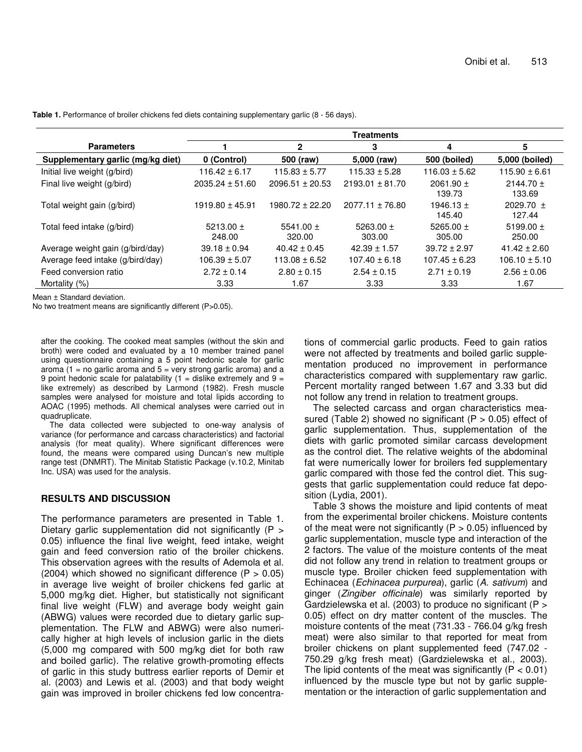|                                   | <b>Treatments</b>       |                         |                         |                         |                         |
|-----------------------------------|-------------------------|-------------------------|-------------------------|-------------------------|-------------------------|
| <b>Parameters</b>                 |                         | $\mathbf{2}$            | 3                       | 4                       | 5                       |
| Supplementary garlic (mg/kg diet) | 0 (Control)             | 500 (raw)               | 5,000 (raw)             | 500 (boiled)            | 5,000 (boiled)          |
| Initial live weight (g/bird)      | $116.42 \pm 6.17$       | $115.83 \pm 5.77$       | $115.33 \pm 5.28$       | $116.03 \pm 5.62$       | $115.90 \pm 6.61$       |
| Final live weight (g/bird)        | $2035.24 \pm 51.60$     | $2096.51 \pm 20.53$     | $2193.01 \pm 81.70$     | $2061.90 \pm$<br>139.73 | $2144.70 \pm$<br>133.69 |
| Total weight gain (g/bird)        | $1919.80 \pm 45.91$     | 1980.72 ± 22.20         | $2077.11 \pm 76.80$     | 1946.13 $\pm$<br>145.40 | 2029.70 $\pm$<br>127.44 |
| Total feed intake (g/bird)        | 5213.00 $\pm$<br>248.00 | 5541.00 $\pm$<br>320.00 | 5263.00 $\pm$<br>303.00 | 5265.00 $\pm$<br>305.00 | 5199.00 $\pm$<br>250.00 |
| Average weight gain (g/bird/day)  | $39.18 \pm 0.94$        | $40.42 \pm 0.45$        | $42.39 \pm 1.57$        | $39.72 \pm 2.97$        | $41.42 \pm 2.60$        |
| Average feed intake (g/bird/day)  | $106.39 \pm 5.07$       | $113.08 \pm 6.52$       | $107.40 \pm 6.18$       | $107.45 \pm 6.23$       | $106.10 \pm 5.10$       |
| Feed conversion ratio             | $2.72 \pm 0.14$         | $2.80 \pm 0.15$         | $2.54 \pm 0.15$         | $2.71 \pm 0.19$         | $2.56 \pm 0.06$         |
| Mortality (%)                     | 3.33                    | 1.67                    | 3.33                    | 3.33                    | 1.67                    |

**Table 1.** Performance of broiler chickens fed diets containing supplementary garlic (8 - 56 days).

Mean ± Standard deviation.

No two treatment means are significantly different (P>0.05).

after the cooking. The cooked meat samples (without the skin and broth) were coded and evaluated by a 10 member trained panel using questionnaire containing a 5 point hedonic scale for garlic aroma  $(1 = no$  garlic aroma and  $5 = very$  strong garlic aroma) and a 9 point hedonic scale for palatability (1 = dislike extremely and  $9 =$ like extremely) as described by Larmond (1982). Fresh muscle samples were analysed for moisture and total lipids according to AOAC (1995) methods. All chemical analyses were carried out in quadruplicate.

The data collected were subjected to one-way analysis of variance (for performance and carcass characteristics) and factorial analysis (for meat quality). Where significant differences were found, the means were compared using Duncan's new multiple range test (DNMRT). The Minitab Statistic Package (v.10.2, Minitab Inc. USA) was used for the analysis.

### **RESULTS AND DISCUSSION**

The performance parameters are presented in Table 1. Dietary garlic supplementation did not significantly (P > 0.05) influence the final live weight, feed intake, weight gain and feed conversion ratio of the broiler chickens. This observation agrees with the results of Ademola et al. (2004) which showed no significant difference ( $P > 0.05$ ) in average live weight of broiler chickens fed garlic at 5,000 mg/kg diet. Higher, but statistically not significant final live weight (FLW) and average body weight gain (ABWG) values were recorded due to dietary garlic supplementation. The FLW and ABWG) were also numerically higher at high levels of inclusion garlic in the diets (5,000 mg compared with 500 mg/kg diet for both raw and boiled garlic). The relative growth-promoting effects of garlic in this study buttress earlier reports of Demir et al. (2003) and Lewis et al. (2003) and that body weight gain was improved in broiler chickens fed low concentra-

tions of commercial garlic products. Feed to gain ratios were not affected by treatments and boiled garlic supplementation produced no improvement in performance characteristics compared with supplementary raw garlic. Percent mortality ranged between 1.67 and 3.33 but did not follow any trend in relation to treatment groups.

The selected carcass and organ characteristics measured (Table 2) showed no significant ( $P > 0.05$ ) effect of garlic supplementation. Thus, supplementation of the diets with garlic promoted similar carcass development as the control diet. The relative weights of the abdominal fat were numerically lower for broilers fed supplementary garlic compared with those fed the control diet. This suggests that garlic supplementation could reduce fat deposition (Lydia, 2001).

Table 3 shows the moisture and lipid contents of meat from the experimental broiler chickens. Moisture contents of the meat were not significantly ( $P > 0.05$ ) influenced by garlic supplementation, muscle type and interaction of the 2 factors. The value of the moisture contents of the meat did not follow any trend in relation to treatment groups or muscle type. Broiler chicken feed supplementation with Echinacea (*Echinacea purpurea*), garlic (*A. sativum*) and ginger (*Zingiber officinale*) was similarly reported by Gardzielewska et al. (2003) to produce no significant (P > 0.05) effect on dry matter content of the muscles. The moisture contents of the meat (731.33 - 766.04 g/kg fresh meat) were also similar to that reported for meat from broiler chickens on plant supplemented feed (747.02 - 750.29 g/kg fresh meat) (Gardzielewska et al., 2003). The lipid contents of the meat was significantly ( $P < 0.01$ ) influenced by the muscle type but not by garlic supplementation or the interaction of garlic supplementation and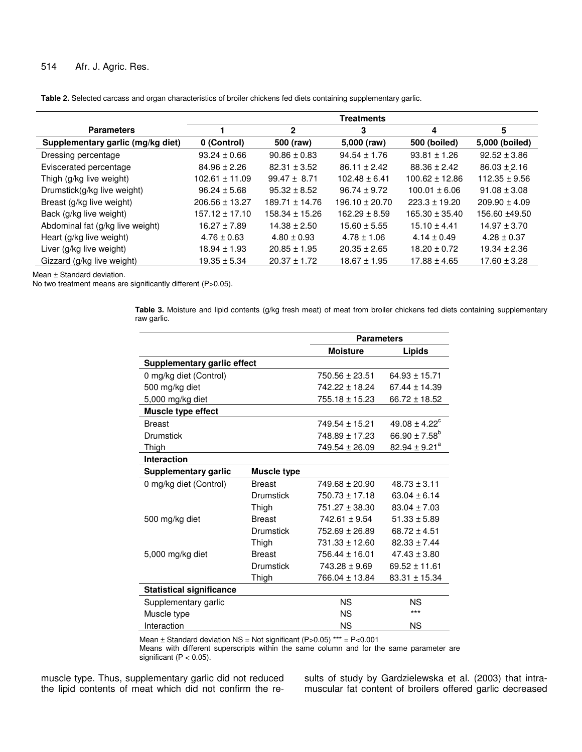## 514 Afr. J. Agric. Res.

|  |  |  |  | Table 2. Selected carcass and organ characteristics of broiler chickens fed diets containing supplementary garlic. |
|--|--|--|--|--------------------------------------------------------------------------------------------------------------------|
|--|--|--|--|--------------------------------------------------------------------------------------------------------------------|

|                                   | <b>Treatments</b>  |                    |                    |                    |                   |
|-----------------------------------|--------------------|--------------------|--------------------|--------------------|-------------------|
| <b>Parameters</b>                 |                    | $\mathbf{2}$       | 3                  | 4                  | 5                 |
| Supplementary garlic (mg/kg diet) | 0 (Control)        | 500 (raw)          | 5,000 (raw)        | 500 (boiled)       | 5,000 (boiled)    |
| Dressing percentage               | $93.24 \pm 0.66$   | $90.86 \pm 0.83$   | $94.54 \pm 1.76$   | $93.81 \pm 1.26$   | $92.52 \pm 3.86$  |
| Eviscerated percentage            | $84.96 \pm 2.26$   | $82.31 \pm 3.52$   | $86.11 \pm 2.42$   | $88.36 \pm 2.42$   | $86.03 \pm 2.16$  |
| Thigh (g/kg live weight)          | $102.61 \pm 11.09$ | $99.47 \pm 8.71$   | $102.48 \pm 6.41$  | $100.62 \pm 12.86$ | $112.35 \pm 9.56$ |
| Drumstick(g/kg live weight)       | $96.24 \pm 5.68$   | $95.32 \pm 8.52$   | $96.74 \pm 9.72$   | $100.01 \pm 6.06$  | $91.08 \pm 3.08$  |
| Breast (g/kg live weight)         | $206.56 \pm 13.27$ | $189.71 \pm 14.76$ | $196.10 \pm 20.70$ | $223.3 \pm 19.20$  | $209.90 \pm 4.09$ |
| Back (g/kg live weight)           | $157.12 \pm 17.10$ | $158.34 \pm 15.26$ | $162.29 \pm 8.59$  | $165.30 \pm 35.40$ | 156.60 ±49.50     |
| Abdominal fat (g/kg live weight)  | $16.27 \pm 7.89$   | $14.38 \pm 2.50$   | $15.60 \pm 5.55$   | $15.10 \pm 4.41$   | $14.97 \pm 3.70$  |
| Heart (g/kg live weight)          | $4.76 \pm 0.63$    | $4.80 \pm 0.93$    | $4.78 \pm 1.06$    | $4.14 \pm 0.49$    | $4.28 \pm 0.37$   |
| Liver (g/kg live weight)          | $18.94 \pm 1.93$   | $20.85 \pm 1.95$   | $20.35 \pm 2.65$   | $18.20 \pm 0.72$   | $19.34 \pm 2.36$  |
| Gizzard (g/kg live weight)        | $19.35 \pm 5.34$   | $20.37 \pm 1.72$   | $18.67 \pm 1.95$   | $17.88 \pm 4.65$   | $17.60 \pm 3.28$  |

Mean ± Standard deviation.

No two treatment means are significantly different (P>0.05).

**Table 3.** Moisture and lipid contents (g/kg fresh meat) of meat from broiler chickens fed diets containing supplementary raw garlic.

|                                 |                    | <b>Parameters</b>  |                               |
|---------------------------------|--------------------|--------------------|-------------------------------|
|                                 |                    | <b>Moisture</b>    | Lipids                        |
| Supplementary garlic effect     |                    |                    |                               |
| 0 mg/kg diet (Control)          |                    | $750.56 \pm 23.51$ | $64.93 \pm 15.71$             |
| 500 mg/kg diet                  |                    | 742.22 ± 18.24     | $67.44 \pm 14.39$             |
| 5,000 mg/kg diet                |                    | $755.18 \pm 15.23$ | $66.72 \pm 18.52$             |
| Muscle type effect              |                    |                    |                               |
| <b>Breast</b>                   |                    | $749.54 \pm 15.21$ | $49.08 \pm 4.22$ <sup>c</sup> |
| Drumstick                       |                    | $748.89 \pm 17.23$ | 66.90 $\pm$ 7.58 <sup>b</sup> |
| Thigh                           |                    | 749.54 ± 26.09     | $82.94 \pm 9.21^a$            |
| <b>Interaction</b>              |                    |                    |                               |
| Supplementary garlic            | <b>Muscle type</b> |                    |                               |
| 0 mg/kg diet (Control)          | <b>Breast</b>      | $749.68 \pm 20.90$ | $48.73 \pm 3.11$              |
|                                 | <b>Drumstick</b>   | $750.73 \pm 17.18$ | $63.04 \pm 6.14$              |
|                                 | Thigh              | $751.27 \pm 38.30$ | $83.04 \pm 7.03$              |
| 500 mg/kg diet                  | <b>Breast</b>      | $742.61 \pm 9.54$  | $51.33 \pm 5.89$              |
|                                 | Drumstick          | $752.69 \pm 26.89$ | $68.72 \pm 4.51$              |
|                                 | Thigh              | 731.33 ± 12.60     | $82.33 \pm 7.44$              |
| 5,000 mg/kg diet                | <b>Breast</b>      | $756.44 \pm 16.01$ | $47.43 \pm 3.80$              |
|                                 | <b>Drumstick</b>   | $743.28 \pm 9.69$  | $69.52 \pm 11.61$             |
|                                 | Thigh              | 766.04 ± 13.84     | $83.31 \pm 15.34$             |
| <b>Statistical significance</b> |                    |                    |                               |
| Supplementary garlic            |                    | <b>NS</b>          | <b>NS</b>                     |
| Muscle type                     |                    | <b>NS</b>          | ***                           |
| Interaction                     |                    | <b>NS</b>          | <b>NS</b>                     |

Mean  $\pm$  Standard deviation NS = Not significant (P>0.05) \*\*\* = P<0.001

Means with different superscripts within the same column and for the same parameter are significant (P < 0.05).

muscle type. Thus, supplementary garlic did not reduced the lipid contents of meat which did not confirm the results of study by Gardzielewska et al. (2003) that intramuscular fat content of broilers offered garlic decreased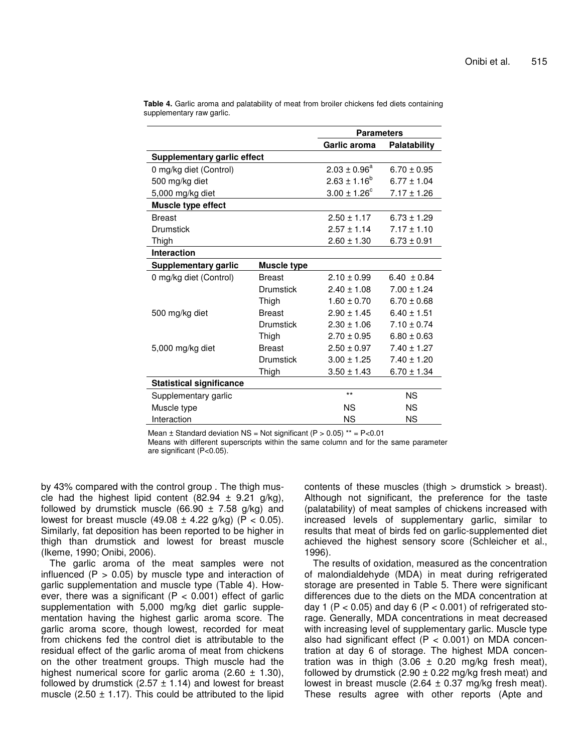|                                    |                    | <b>Parameters</b>       |                     |
|------------------------------------|--------------------|-------------------------|---------------------|
|                                    |                    | Garlic aroma            | <b>Palatability</b> |
| <b>Supplementary garlic effect</b> |                    |                         |                     |
| 0 mg/kg diet (Control)             |                    | $2.03 \pm 0.96^a$       | $6.70 \pm 0.95$     |
| 500 mg/kg diet                     |                    | $2.63 \pm 1.16^b$       | $6.77 \pm 1.04$     |
| 5,000 mg/kg diet                   |                    | $3.00 \pm 1.26^{\circ}$ | $7.17 \pm 1.26$     |
| Muscle type effect                 |                    |                         |                     |
| <b>Breast</b>                      |                    | $2.50 \pm 1.17$         | $6.73 \pm 1.29$     |
| <b>Drumstick</b>                   |                    | $2.57 \pm 1.14$         | $7.17 \pm 1.10$     |
| Thigh                              |                    | $2.60 \pm 1.30$         | $6.73 \pm 0.91$     |
| <b>Interaction</b>                 |                    |                         |                     |
| Supplementary garlic               | <b>Muscle type</b> |                         |                     |
| 0 mg/kg diet (Control)             | <b>Breast</b>      | $2.10 \pm 0.99$         | $6.40 \pm 0.84$     |
|                                    | Drumstick          | $2.40 \pm 1.08$         | $7.00 \pm 1.24$     |
|                                    | Thigh              | $1.60 \pm 0.70$         | $6.70 \pm 0.68$     |
| 500 mg/kg diet                     | <b>Breast</b>      | $2.90 \pm 1.45$         | $6.40 \pm 1.51$     |
|                                    | Drumstick          | $2.30 \pm 1.06$         | $7.10 \pm 0.74$     |
|                                    | Thigh              | $2.70 \pm 0.95$         | $6.80 \pm 0.63$     |
| 5,000 mg/kg diet                   | <b>Breast</b>      | $2.50 \pm 0.97$         | $7.40 \pm 1.27$     |
|                                    | Drumstick          | $3.00 \pm 1.25$         | $7.40 \pm 1.20$     |
|                                    | Thigh              | $3.50 \pm 1.43$         | $6.70 \pm 1.34$     |
| <b>Statistical significance</b>    |                    |                         |                     |
| Supplementary garlic               |                    | $***$                   | <b>NS</b>           |
| Muscle type                        |                    | <b>NS</b>               | ΝS                  |
| Interaction                        |                    | ΝS                      | ΝS                  |

**Table 4.** Garlic aroma and palatability of meat from broiler chickens fed diets containing supplementary raw garlic.

Mean  $\pm$  Standard deviation NS = Not significant (P > 0.05) \*\* = P<0.01

Means with different superscripts within the same column and for the same parameter are significant (P<0.05).

by 43% compared with the control group . The thigh muscle had the highest lipid content (82.94  $\pm$  9.21 g/kg), followed by drumstick muscle (66.90  $\pm$  7.58 g/kg) and lowest for breast muscle  $(49.08 \pm 4.22 \text{ g/kg})$  (P < 0.05). Similarly, fat deposition has been reported to be higher in thigh than drumstick and lowest for breast muscle (Ikeme, 1990; Onibi, 2006).

The garlic aroma of the meat samples were not influenced ( $P > 0.05$ ) by muscle type and interaction of garlic supplementation and muscle type (Table 4). However, there was a significant ( $P < 0.001$ ) effect of garlic supplementation with 5,000 mg/kg diet garlic supplementation having the highest garlic aroma score. The garlic aroma score, though lowest, recorded for meat from chickens fed the control diet is attributable to the residual effect of the garlic aroma of meat from chickens on the other treatment groups. Thigh muscle had the highest numerical score for garlic aroma (2.60  $\pm$  1.30), followed by drumstick (2.57  $\pm$  1.14) and lowest for breast muscle  $(2.50 \pm 1.17)$ . This could be attributed to the lipid contents of these muscles (thigh > drumstick > breast). Although not significant, the preference for the taste (palatability) of meat samples of chickens increased with increased levels of supplementary garlic, similar to results that meat of birds fed on garlic-supplemented diet achieved the highest sensory score (Schleicher et al., 1996).

The results of oxidation, measured as the concentration of malondialdehyde (MDA) in meat during refrigerated storage are presented in Table 5. There were significant differences due to the diets on the MDA concentration at day 1 (P < 0.05) and day 6 (P < 0.001) of refrigerated storage. Generally, MDA concentrations in meat decreased with increasing level of supplementary garlic. Muscle type also had significant effect ( $P < 0.001$ ) on MDA concentration at day 6 of storage. The highest MDA concentration was in thigh  $(3.06 \pm 0.20 \text{ mg/kg}$  fresh meat), followed by drumstick  $(2.90 \pm 0.22 \text{ mg/kg}$  fresh meat) and lowest in breast muscle  $(2.64 \pm 0.37 \text{ mg/kg}$  fresh meat). These results agree with other reports (Apte and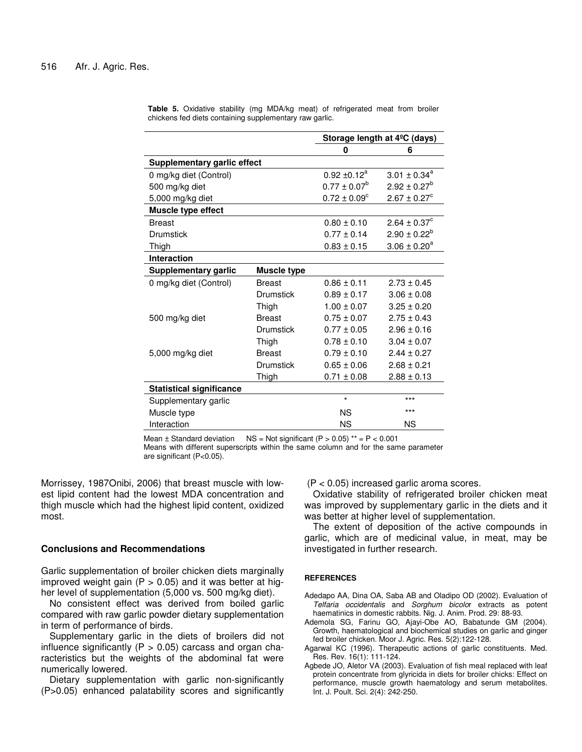|                                 |                    | Storage length at 4 <sup>o</sup> C (days) |                              |
|---------------------------------|--------------------|-------------------------------------------|------------------------------|
|                                 |                    | 0                                         | 6                            |
| Supplementary garlic effect     |                    |                                           |                              |
| 0 mg/kg diet (Control)          |                    | $0.92 \pm 0.12^a$                         | $3.01 \pm 0.34^a$            |
| 500 mg/kg diet                  |                    | $0.77 \pm 0.07^b$                         | $2.92 \pm 0.27^b$            |
| 5,000 mg/kg diet                |                    | $0.72 \pm 0.09^{\circ}$                   | $2.67 \pm 0.27$ <sup>c</sup> |
| Muscle type effect              |                    |                                           |                              |
| <b>Breast</b>                   |                    | $0.80 \pm 0.10$                           | $2.64 \pm 0.37^c$            |
| <b>Drumstick</b>                |                    | $0.77 \pm 0.14$                           | $2.90 \pm 0.22^b$            |
| Thigh                           |                    | $0.83 \pm 0.15$                           | $3.06 \pm 0.20^a$            |
| <b>Interaction</b>              |                    |                                           |                              |
| <b>Supplementary garlic</b>     | <b>Muscle type</b> |                                           |                              |
| 0 mg/kg diet (Control)          | <b>Breast</b>      | $0.86 \pm 0.11$                           | $2.73 \pm 0.45$              |
|                                 | <b>Drumstick</b>   | $0.89 \pm 0.17$                           | $3.06 \pm 0.08$              |
|                                 | Thigh              | $1.00 \pm 0.07$                           | $3.25 \pm 0.20$              |
| 500 mg/kg diet                  | <b>Breast</b>      | $0.75 \pm 0.07$                           | $2.75 \pm 0.43$              |
|                                 | <b>Drumstick</b>   | $0.77 \pm 0.05$                           | $2.96 \pm 0.16$              |
|                                 | Thigh              | $0.78 \pm 0.10$                           | $3.04 \pm 0.07$              |
| 5,000 mg/kg diet                | <b>Breast</b>      | $0.79 \pm 0.10$                           | $2.44 \pm 0.27$              |
|                                 | Drumstick          | $0.65 \pm 0.06$                           | $2.68 \pm 0.21$              |
|                                 | Thigh              | $0.71 \pm 0.08$                           | $2.88 \pm 0.13$              |
| <b>Statistical significance</b> |                    |                                           |                              |
| Supplementary garlic            |                    | $\star$                                   | $***$                        |
| Muscle type                     |                    | <b>NS</b>                                 | $***$                        |
| Interaction                     |                    | <b>NS</b>                                 | <b>NS</b>                    |

**Table 5.** Oxidative stability (mg MDA/kg meat) of refrigerated meat from broiler chickens fed diets containing supplementary raw garlic.

Mean  $\pm$  Standard deviation NS = Not significant (P > 0.05) \*\* = P < 0.001

Means with different superscripts within the same column and for the same parameter are significant (P<0.05).

Morrissey, 1987Onibi, 2006) that breast muscle with lowest lipid content had the lowest MDA concentration and thigh muscle which had the highest lipid content, oxidized most.

### **Conclusions and Recommendations**

Garlic supplementation of broiler chicken diets marginally improved weight gain ( $P > 0.05$ ) and it was better at higher level of supplementation (5,000 vs. 500 mg/kg diet).

No consistent effect was derived from boiled garlic compared with raw garlic powder dietary supplementation in term of performance of birds.

Supplementary garlic in the diets of broilers did not influence significantly ( $P > 0.05$ ) carcass and organ characteristics but the weights of the abdominal fat were numerically lowered.

Dietary supplementation with garlic non-significantly (P>0.05) enhanced palatability scores and significantly (P < 0.05) increased garlic aroma scores.

Oxidative stability of refrigerated broiler chicken meat was improved by supplementary garlic in the diets and it was better at higher level of supplementation.

The extent of deposition of the active compounds in garlic, which are of medicinal value, in meat, may be investigated in further research.

#### **REFERENCES**

- Adedapo AA, Dina OA, Saba AB and Oladipo OD (2002). Evaluation of *Telfaria occidentalis* and *Sorghum bicolo*r extracts as potent haematinics in domestic rabbits. Nig. J. Anim. Prod. 29: 88-93.
- Ademola SG, Farinu GO, Ajayi-Obe AO, Babatunde GM (2004). Growth, haematological and biochemical studies on garlic and ginger fed broiler chicken. Moor J. Agric. Res. 5(2):122-128.
- Agarwal KC (1996). Therapeutic actions of garlic constituents. Med. Res. Rev. 16(1): 111-124.
- Agbede JO, Aletor VA (2003). Evaluation of fish meal replaced with leaf protein concentrate from glyricida in diets for broiler chicks: Effect on performance, muscle growth haematology and serum metabolites. Int. J. Poult. Sci. 2(4): 242-250.